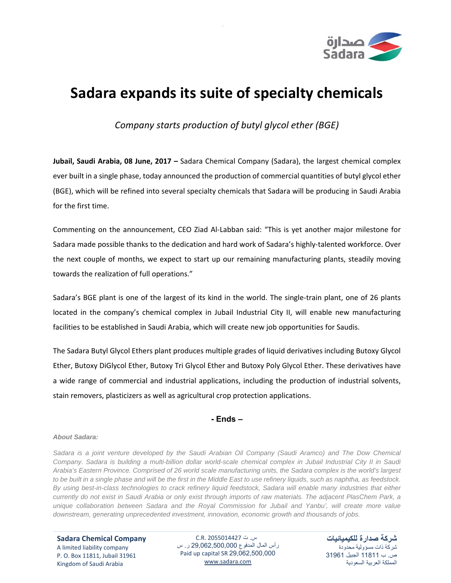

## **Sadara expands its suite of specialty chemicals**

*Company starts production of butyl glycol ether (BGE)*

**Jubail, Saudi Arabia, 08 June, 2017 –** Sadara Chemical Company (Sadara), the largest chemical complex ever built in a single phase, today announced the production of commercial quantities of butyl glycol ether (BGE), which will be refined into several specialty chemicals that Sadara will be producing in Saudi Arabia for the first time.

Commenting on the announcement, CEO Ziad Al‐Labban said: "This is yet another major milestone for Sadara made possible thanks to the dedication and hard work of Sadara's highly‐talented workforce. Over the next couple of months, we expect to start up our remaining manufacturing plants, steadily moving towards the realization of full operations."

Sadara's BGE plant is one of the largest of its kind in the world. The single-train plant, one of 26 plants located in the company's chemical complex in Jubail Industrial City II, will enable new manufacturing facilities to be established in Saudi Arabia, which will create new job opportunities for Saudis.

The Sadara Butyl Glycol Ethers plant produces multiple grades of liquid derivatives including Butoxy Glycol Ether, Butoxy DiGlycol Ether, Butoxy Tri Glycol Ether and Butoxy Poly Glycol Ether. These derivatives have a wide range of commercial and industrial applications, including the production of industrial solvents, stain removers, plasticizers as well as agricultural crop protection applications.

## **- Ends –**

## *About Sadara:*

*Sadara is a joint venture developed by the Saudi Arabian Oil Company (Saudi Aramco) and The Dow Chemical Company. Sadara is building a multi-billion dollar world-scale chemical complex in Jubail Industrial City II in Saudi Arabia's Eastern Province. Comprised of 26 world scale manufacturing units, the Sadara complex is the world's largest to be built in a single phase and will be the first in the Middle East to use refinery liquids, such as naphtha, as feedstock. By using best-in-class technologies to crack refinery liquid feedstock, Sadara will enable many industries that either currently do not exist in Saudi Arabia or only exist through imports of raw materials. The adjacent PlasChem Park, a unique collaboration between Sadara and the Royal Commission for Jubail and Yanbu', will create more value downstream, generating unprecedented investment, innovation, economic growth and thousands of jobs.* 

**Sadara Chemical Company** A limited liability company P. O. Box 11811, Jubail 31961 Kingdom of Saudi Arabia

س. ت 2055014427 .R.C رأس المال المدفوع 29,062,500,000 ر. س Paid up capital SR 29,062,500,000 www.sadara.com

**شركة صدارة للكيميائيات** شركة ذات مسؤولية محدودة ص. ب 11811 الجبيل 31961 المملكة العربية السعودية